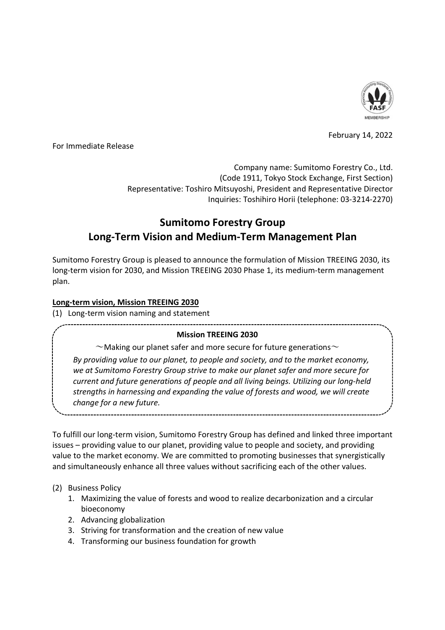

February 14, 2022

For Immediate Release

Company name: Sumitomo Forestry Co., Ltd. (Code 1911, Tokyo Stock Exchange, First Section) Representative: Toshiro Mitsuyoshi, President and Representative Director Inquiries: Toshihiro Horii (telephone: 03-3214-2270)

# **Sumitomo Forestry Group Long-Term Vision and Medium-Term Management Plan**

Sumitomo Forestry Group is pleased to announce the formulation of Mission TREEING 2030, its long-term vision for 2030, and Mission TREEING 2030 Phase 1, its medium-term management plan.

# **Long-term vision, Mission TREEING 2030**

(1) Long-term vision naming and statement

# **Mission TREEING 2030**

 $\sim$ Making our planet safer and more secure for future generations $\sim$ 

*By providing value to our planet, to people and society, and to the market economy, we at Sumitomo Forestry Group strive to make our planet safer and more secure for current and future generations of people and all living beings. Utilizing our long-held strengths in harnessing and expanding the value of forests and wood, we will create change for a new future.*

To fulfill our long-term vision, Sumitomo Forestry Group has defined and linked three important issues – providing value to our planet, providing value to people and society, and providing value to the market economy. We are committed to promoting businesses that synergistically and simultaneously enhance all three values without sacrificing each of the other values.

# (2) Business Policy

- 1. Maximizing the value of forests and wood to realize decarbonization and a circular bioeconomy
- 2. Advancing globalization
- 3. Striving for transformation and the creation of new value
- 4. Transforming our business foundation for growth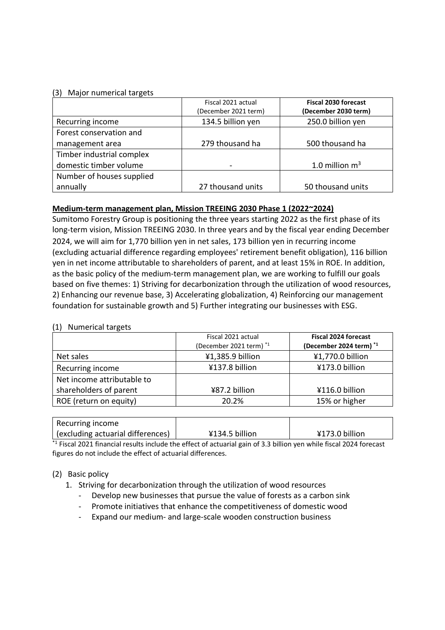#### (3) Major numerical targets

|                           | Fiscal 2021 actual   | <b>Fiscal 2030 forecast</b> |  |
|---------------------------|----------------------|-----------------------------|--|
|                           | (December 2021 term) | (December 2030 term)        |  |
| Recurring income          | 134.5 billion yen    | 250.0 billion yen           |  |
| Forest conservation and   |                      |                             |  |
| management area           | 279 thousand ha      | 500 thousand ha             |  |
| Timber industrial complex |                      |                             |  |
| domestic timber volume    |                      | 1.0 million $m3$            |  |
| Number of houses supplied |                      |                             |  |
| annually                  | 27 thousand units    | 50 thousand units           |  |

# **Medium-term management plan, Mission TREEING 2030 Phase 1 (2022~2024)**

Sumitomo Forestry Group is positioning the three years starting 2022 as the first phase of its long-term vision, Mission TREEING 2030. In three years and by the fiscal year ending December 2024, we will aim for 1,770 billion yen in net sales, 173 billion yen in recurring income (excluding actuarial difference regarding employees' retirement benefit obligation), 116 billion yen in net income attributable to shareholders of parent, and at least 15% in ROE. In addition, as the basic policy of the medium-term management plan, we are working to fulfill our goals based on five themes: 1) Striving for decarbonization through the utilization of wood resources, 2) Enhancing our revenue base, 3) Accelerating globalization, 4) Reinforcing our management foundation for sustainable growth and 5) Further integrating our businesses with ESG.

#### (1) Numerical targets

|                            | Fiscal 2021 actual<br>(December 2021 term) *1 | <b>Fiscal 2024 forecast</b><br>(December 2024 term) *1 |
|----------------------------|-----------------------------------------------|--------------------------------------------------------|
| Net sales                  | ¥1,385.9 billion                              | ¥1,770.0 billion                                       |
| Recurring income           | ¥137.8 billion                                | ¥173.0 billion                                         |
| Net income attributable to |                                               |                                                        |
| shareholders of parent     | ¥87.2 billion                                 | ¥116.0 billion                                         |
| ROE (return on equity)     | 20.2%                                         | 15% or higher                                          |

| Recurring income                  |                |                |
|-----------------------------------|----------------|----------------|
| (excluding actuarial differences) | ¥134.5 billion | ¥173.0 billion |

 $*$ <sup>1</sup> Fiscal 2021 financial results include the effect of actuarial gain of 3.3 billion yen while fiscal 2024 forecast figures do not include the effect of actuarial differences.

# (2) Basic policy

1. Striving for decarbonization through the utilization of wood resources

- Develop new businesses that pursue the value of forests as a carbon sink
- Promote initiatives that enhance the competitiveness of domestic wood
- Expand our medium- and large-scale wooden construction business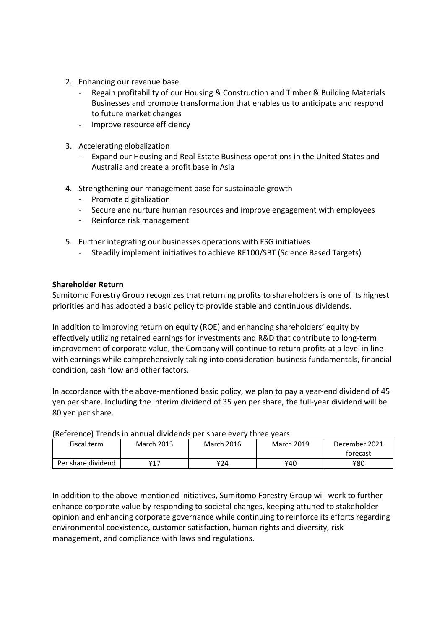- 2. Enhancing our revenue base
	- Regain profitability of our Housing & Construction and Timber & Building Materials Businesses and promote transformation that enables us to anticipate and respond to future market changes
	- Improve resource efficiency
- 3. Accelerating globalization
	- Expand our Housing and Real Estate Business operations in the United States and Australia and create a profit base in Asia
- 4. Strengthening our management base for sustainable growth
	- Promote digitalization
	- Secure and nurture human resources and improve engagement with employees
	- Reinforce risk management
- 5. Further integrating our businesses operations with ESG initiatives
	- Steadily implement initiatives to achieve RE100/SBT (Science Based Targets)

# **Shareholder Return**

Sumitomo Forestry Group recognizes that returning profits to shareholders is one of its highest priorities and has adopted a basic policy to provide stable and continuous dividends.

In addition to improving return on equity (ROE) and enhancing shareholders' equity by effectively utilizing retained earnings for investments and R&D that contribute to long-term improvement of corporate value, the Company will continue to return profits at a level in line with earnings while comprehensively taking into consideration business fundamentals, financial condition, cash flow and other factors.

In accordance with the above-mentioned basic policy, we plan to pay a year-end dividend of 45 yen per share. Including the interim dividend of 35 yen per share, the full-year dividend will be 80 yen per share.

| mercrence, menus in unnuur unnuenus per snure every un ce veurs |            |            |            |               |  |  |
|-----------------------------------------------------------------|------------|------------|------------|---------------|--|--|
| Fiscal term                                                     | March 2013 | March 2016 | March 2019 | December 2021 |  |  |
|                                                                 |            |            |            | torecast      |  |  |
| Per share dividend                                              | ¥17        | ¥24        | ¥40        | ¥80           |  |  |

(Reference) Trends in annual dividends per share every three years

In addition to the above-mentioned initiatives, Sumitomo Forestry Group will work to further enhance corporate value by responding to societal changes, keeping attuned to stakeholder opinion and enhancing corporate governance while continuing to reinforce its efforts regarding environmental coexistence, customer satisfaction, human rights and diversity, risk management, and compliance with laws and regulations.